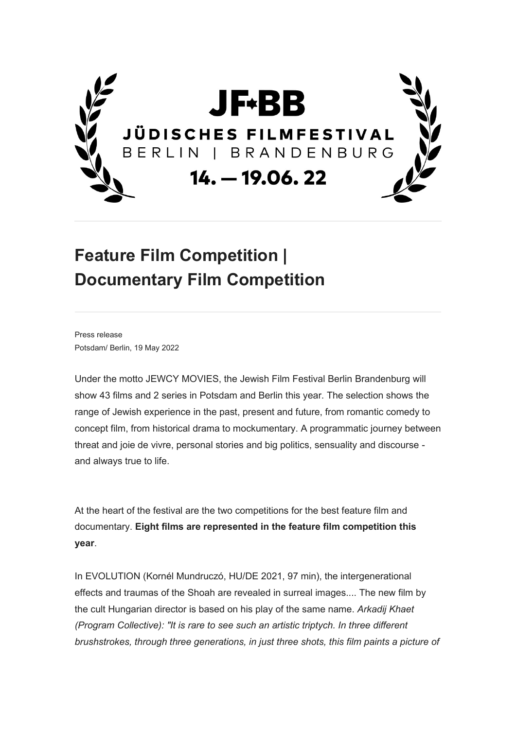

## **Feature Film Competition | Documentary Film Competition**

Press release Potsdam/ Berlin, 19 May 2022

Under the motto JEWCY MOVIES, the Jewish Film Festival Berlin Brandenburg will show 43 films and 2 series in Potsdam and Berlin this year. The selection shows the range of Jewish experience in the past, present and future, from romantic comedy to concept film, from historical drama to mockumentary. A programmatic journey between threat and joie de vivre, personal stories and big politics, sensuality and discourse and always true to life.

At the heart of the festival are the two competitions for the best feature film and documentary. **Eight films are represented in the feature film competition this year**.

In EVOLUTION (Kornél Mundruczó, HU/DE 2021, 97 min), the intergenerational effects and traumas of the Shoah are revealed in surreal images.... The new film by the cult Hungarian director is based on his play of the same name. *Arkadij Khaet (Program Collective): "It is rare to see such an artistic triptych. In three different brushstrokes, through three generations, in just three shots, this film paints a picture of*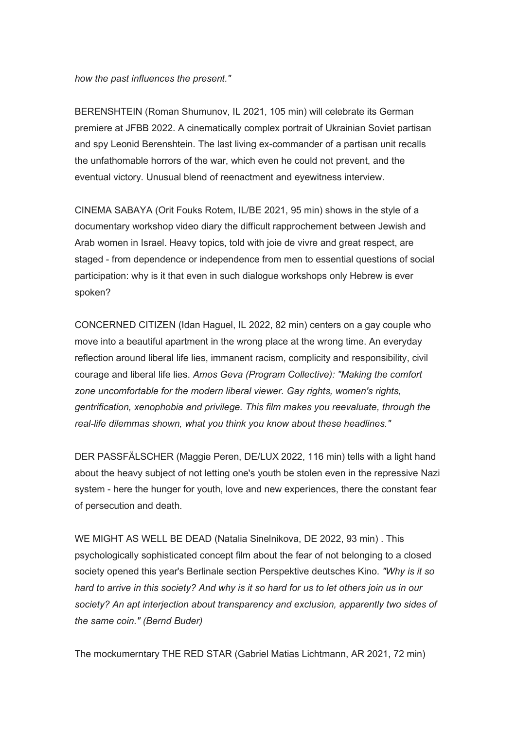*how the past influences the present."*

BERENSHTEIN (Roman Shumunov, IL 2021, 105 min) will celebrate its German premiere at JFBB 2022. A cinematically complex portrait of Ukrainian Soviet partisan and spy Leonid Berenshtein. The last living ex-commander of a partisan unit recalls the unfathomable horrors of the war, which even he could not prevent, and the eventual victory. Unusual blend of reenactment and eyewitness interview.

CINEMA SABAYA (Orit Fouks Rotem, IL/BE 2021, 95 min) shows in the style of a documentary workshop video diary the difficult rapprochement between Jewish and Arab women in Israel. Heavy topics, told with joie de vivre and great respect, are staged - from dependence or independence from men to essential questions of social participation: why is it that even in such dialogue workshops only Hebrew is ever spoken?

CONCERNED CITIZEN (Idan Haguel, IL 2022, 82 min) centers on a gay couple who move into a beautiful apartment in the wrong place at the wrong time. An everyday reflection around liberal life lies, immanent racism, complicity and responsibility, civil courage and liberal life lies. *Amos Geva (Program Collective): "Making the comfort zone uncomfortable for the modern liberal viewer. Gay rights, women's rights, gentrification, xenophobia and privilege. This film makes you reevaluate, through the real-life dilemmas shown, what you think you know about these headlines."*

DER PASSFÄLSCHER (Maggie Peren, DE/LUX 2022, 116 min) tells with a light hand about the heavy subject of not letting one's youth be stolen even in the repressive Nazi system - here the hunger for youth, love and new experiences, there the constant fear of persecution and death.

WE MIGHT AS WELL BE DEAD (Natalia Sinelnikova, DE 2022, 93 min) . This psychologically sophisticated concept film about the fear of not belonging to a closed society opened this year's Berlinale section Perspektive deutsches Kino. *"Why is it so hard to arrive in this society? And why is it so hard for us to let others join us in our society? An apt interjection about transparency and exclusion, apparently two sides of the same coin." (Bernd Buder)*

The mockumerntary THE RED STAR (Gabriel Matias Lichtmann, AR 2021, 72 min)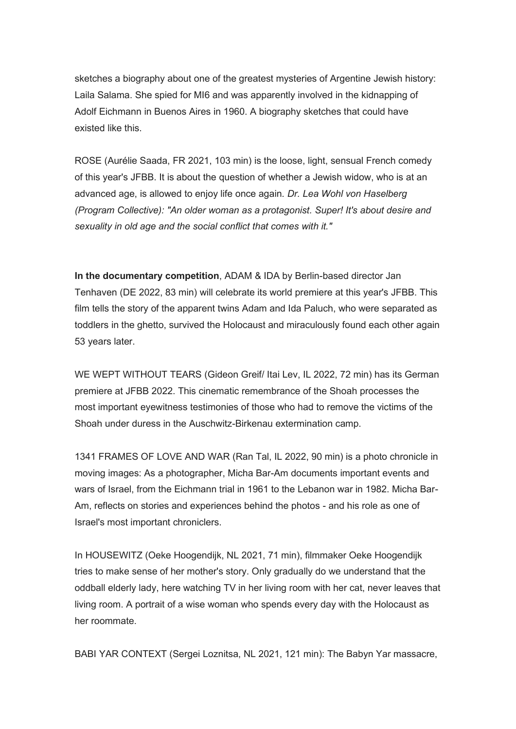sketches a biography about one of the greatest mysteries of Argentine Jewish history: Laila Salama. She spied for MI6 and was apparently involved in the kidnapping of Adolf Eichmann in Buenos Aires in 1960. A biography sketches that could have existed like this.

ROSE (Aurélie Saada, FR 2021, 103 min) is the loose, light, sensual French comedy of this year's JFBB. It is about the question of whether a Jewish widow, who is at an advanced age, is allowed to enjoy life once again. *Dr. Lea Wohl von Haselberg (Program Collective): "An older woman as a protagonist. Super! It's about desire and sexuality in old age and the social conflict that comes with it."*

**In the documentary competition**, ADAM & IDA by Berlin-based director Jan Tenhaven (DE 2022, 83 min) will celebrate its world premiere at this year's JFBB. This film tells the story of the apparent twins Adam and Ida Paluch, who were separated as toddlers in the ghetto, survived the Holocaust and miraculously found each other again 53 years later.

WE WEPT WITHOUT TEARS (Gideon Greif/ Itai Lev, IL 2022, 72 min) has its German premiere at JFBB 2022. This cinematic remembrance of the Shoah processes the most important eyewitness testimonies of those who had to remove the victims of the Shoah under duress in the Auschwitz-Birkenau extermination camp.

1341 FRAMES OF LOVE AND WAR (Ran Tal, IL 2022, 90 min) is a photo chronicle in moving images: As a photographer, Micha Bar-Am documents important events and wars of Israel, from the Eichmann trial in 1961 to the Lebanon war in 1982. Micha Bar-Am, reflects on stories and experiences behind the photos - and his role as one of Israel's most important chroniclers.

In HOUSEWITZ (Oeke Hoogendijk, NL 2021, 71 min), filmmaker Oeke Hoogendijk tries to make sense of her mother's story. Only gradually do we understand that the oddball elderly lady, here watching TV in her living room with her cat, never leaves that living room. A portrait of a wise woman who spends every day with the Holocaust as her roommate.

BABI YAR CONTEXT (Sergei Loznitsa, NL 2021, 121 min): The Babyn Yar massacre,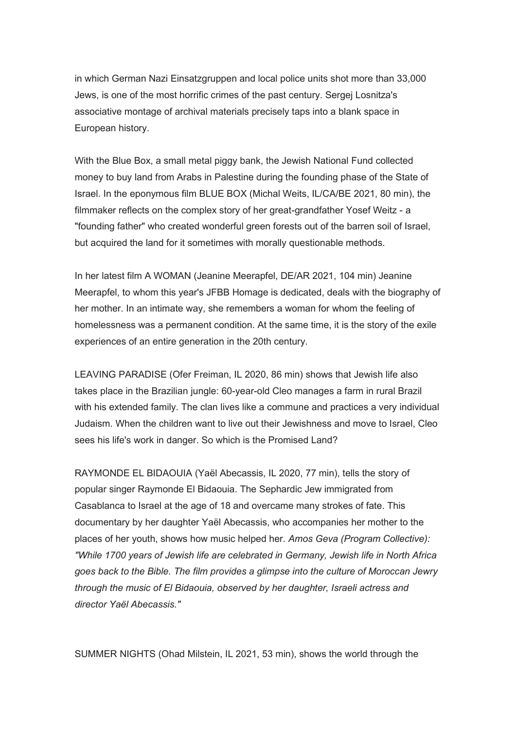in which German Nazi Einsatzgruppen and local police units shot more than 33,000 Jews, is one of the most horrific crimes of the past century. Sergej Losnitza's associative montage of archival materials precisely taps into a blank space in European history.

With the Blue Box, a small metal piggy bank, the Jewish National Fund collected money to buy land from Arabs in Palestine during the founding phase of the State of Israel. In the eponymous film BLUE BOX (Michal Weits, IL/CA/BE 2021, 80 min), the filmmaker reflects on the complex story of her great-grandfather Yosef Weitz - a "founding father" who created wonderful green forests out of the barren soil of Israel, but acquired the land for it sometimes with morally questionable methods.

In her latest film A WOMAN (Jeanine Meerapfel, DE/AR 2021, 104 min) Jeanine Meerapfel, to whom this year's JFBB Homage is dedicated, deals with the biography of her mother. In an intimate way, she remembers a woman for whom the feeling of homelessness was a permanent condition. At the same time, it is the story of the exile experiences of an entire generation in the 20th century.

LEAVING PARADISE (Ofer Freiman, IL 2020, 86 min) shows that Jewish life also takes place in the Brazilian jungle: 60-year-old Cleo manages a farm in rural Brazil with his extended family. The clan lives like a commune and practices a very individual Judaism. When the children want to live out their Jewishness and move to Israel, Cleo sees his life's work in danger. So which is the Promised Land?

RAYMONDE EL BIDAOUIA (Yaël Abecassis, IL 2020, 77 min), tells the story of popular singer Raymonde El Bidaouia. The Sephardic Jew immigrated from Casablanca to Israel at the age of 18 and overcame many strokes of fate. This documentary by her daughter Yaël Abecassis, who accompanies her mother to the places of her youth, shows how music helped her. *Amos Geva (Program Collective): "While 1700 years of Jewish life are celebrated in Germany, Jewish life in North Africa goes back to the Bible. The film provides a glimpse into the culture of Moroccan Jewry through the music of El Bidaouia, observed by her daughter, Israeli actress and director Yaël Abecassis."*

SUMMER NIGHTS (Ohad Milstein, IL 2021, 53 min), shows the world through the